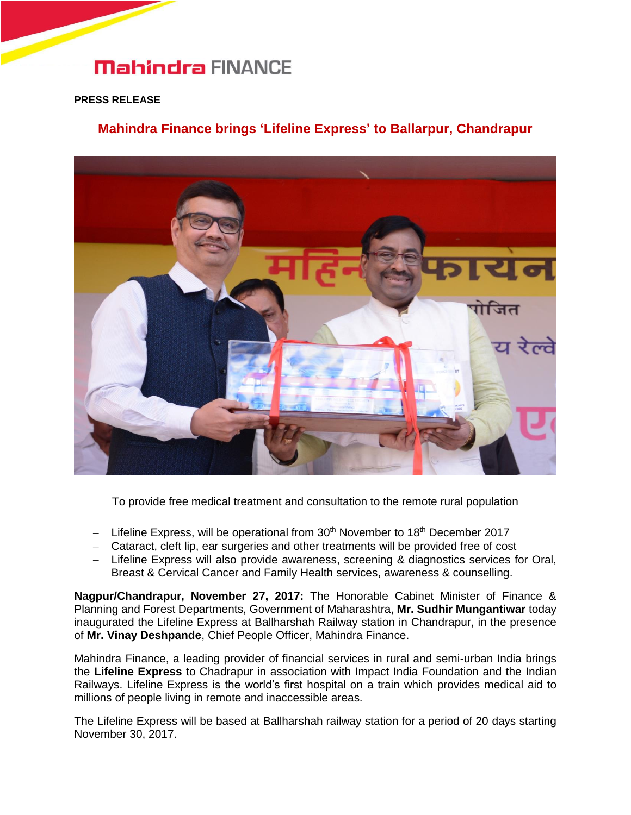# **Mahindra FINANCE**

### **PRESS RELEASE**

## **Mahindra Finance brings 'Lifeline Express' to Ballarpur, Chandrapur**



To provide free medical treatment and consultation to the remote rural population

- Lifeline Express, will be operational from  $30<sup>th</sup>$  November to 18<sup>th</sup> December 2017
- Cataract, cleft lip, ear surgeries and other treatments will be provided free of cost
- Lifeline Express will also provide awareness, screening & diagnostics services for Oral, Breast & Cervical Cancer and Family Health services, awareness & counselling.

**Nagpur/Chandrapur, November 27, 2017:** The Honorable Cabinet Minister of Finance & Planning and Forest Departments, Government of Maharashtra, **Mr. Sudhir Mungantiwar** today inaugurated the Lifeline Express at Ballharshah Railway station in Chandrapur, in the presence of **Mr. Vinay Deshpande**, Chief People Officer, Mahindra Finance.

Mahindra Finance, a leading provider of financial services in rural and semi-urban India brings the **Lifeline Express** to Chadrapur in association with Impact India Foundation and the Indian Railways. Lifeline Express is the world's first hospital on a train which provides medical aid to millions of people living in remote and inaccessible areas.

The Lifeline Express will be based at Ballharshah railway station for a period of 20 days starting November 30, 2017.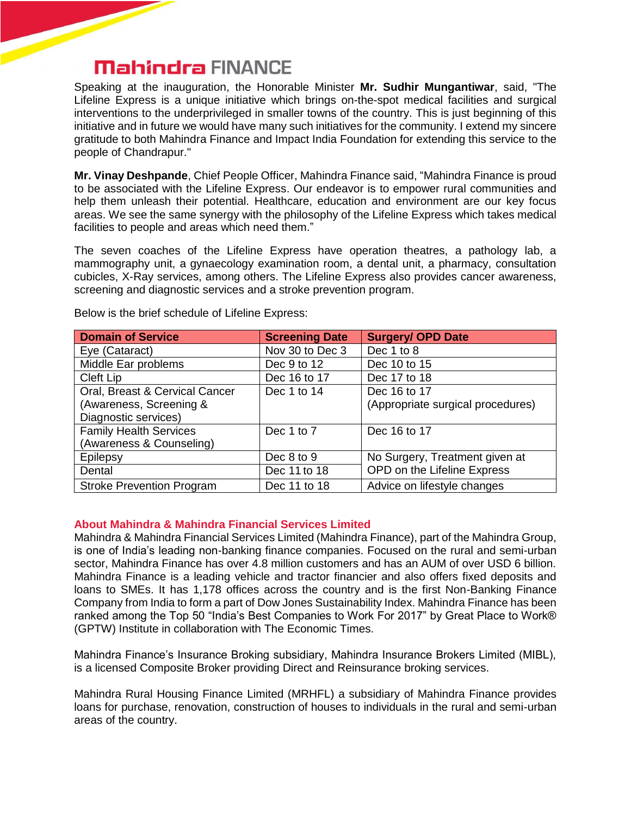# **Mahindra FINANCE**

Speaking at the inauguration, the Honorable Minister **Mr. Sudhir Mungantiwar**, said, "The Lifeline Express is a unique initiative which brings on-the-spot medical facilities and surgical interventions to the underprivileged in smaller towns of the country. This is just beginning of this initiative and in future we would have many such initiatives for the community. I extend my sincere gratitude to both Mahindra Finance and Impact India Foundation for extending this service to the people of Chandrapur."

**Mr. Vinay Deshpande**, Chief People Officer, Mahindra Finance said, "Mahindra Finance is proud to be associated with the Lifeline Express. Our endeavor is to empower rural communities and help them unleash their potential. Healthcare, education and environment are our key focus areas. We see the same synergy with the philosophy of the Lifeline Express which takes medical facilities to people and areas which need them."

The seven coaches of the Lifeline Express have operation theatres, a pathology lab, a mammography unit, a gynaecology examination room, a dental unit, a pharmacy, consultation cubicles, X-Ray services, among others. The Lifeline Express also provides cancer awareness, screening and diagnostic services and a stroke prevention program.

| <b>Domain of Service</b>         | <b>Screening Date</b> | <b>Surgery/ OPD Date</b>          |
|----------------------------------|-----------------------|-----------------------------------|
| Eye (Cataract)                   | Nov 30 to Dec 3       | Dec 1 to 8                        |
| Middle Ear problems              | Dec 9 to 12           | Dec 10 to 15                      |
| Cleft Lip                        | Dec 16 to 17          | Dec 17 to 18                      |
| Oral, Breast & Cervical Cancer   | Dec 1 to 14           | Dec 16 to 17                      |
| (Awareness, Screening &          |                       | (Appropriate surgical procedures) |
| Diagnostic services)             |                       |                                   |
| <b>Family Health Services</b>    | Dec 1 to 7            | Dec 16 to 17                      |
| (Awareness & Counseling)         |                       |                                   |
| Epilepsy                         | Dec 8 to 9            | No Surgery, Treatment given at    |
| Dental                           | Dec 11 to 18          | OPD on the Lifeline Express       |
| <b>Stroke Prevention Program</b> | Dec 11 to 18          | Advice on lifestyle changes       |

Below is the brief schedule of Lifeline Express:

### **About Mahindra & Mahindra Financial Services Limited**

Mahindra & Mahindra Financial Services Limited (Mahindra Finance), part of the Mahindra Group, is one of India's leading non-banking finance companies. Focused on the rural and semi-urban sector, Mahindra Finance has over 4.8 million customers and has an AUM of over USD 6 billion. Mahindra Finance is a leading vehicle and tractor financier and also offers fixed deposits and loans to SMEs. It has 1,178 offices across the country and is the first Non-Banking Finance Company from India to form a part of Dow Jones Sustainability Index. Mahindra Finance has been ranked among the Top 50 "India's Best Companies to Work For 2017" by Great Place to Work® (GPTW) Institute in collaboration with The Economic Times.

Mahindra Finance's Insurance Broking subsidiary, Mahindra Insurance Brokers Limited (MIBL), is a licensed Composite Broker providing Direct and Reinsurance broking services.

Mahindra Rural Housing Finance Limited (MRHFL) a subsidiary of Mahindra Finance provides loans for purchase, renovation, construction of houses to individuals in the rural and semi-urban areas of the country.